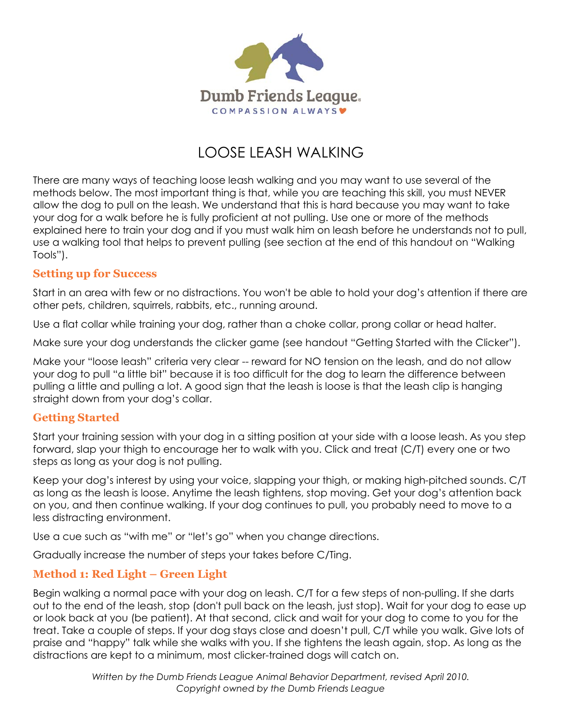

# LOOSE LEASH WALKING

There are many ways of teaching loose leash walking and you may want to use several of the methods below. The most important thing is that, while you are teaching this skill, you must NEVER allow the dog to pull on the leash. We understand that this is hard because you may want to take your dog for a walk before he is fully proficient at not pulling. Use one or more of the methods explained here to train your dog and if you must walk him on leash before he understands not to pull, use a walking tool that helps to prevent pulling (see section at the end of this handout on "Walking Tools").

#### **Setting up for Success**

Start in an area with few or no distractions. You won't be able to hold your dog's attention if there are other pets, children, squirrels, rabbits, etc., running around.

Use a flat collar while training your dog, rather than a choke collar, prong collar or head halter.

Make sure your dog understands the clicker game (see handout "Getting Started with the Clicker").

Make your "loose leash" criteria very clear -- reward for NO tension on the leash, and do not allow your dog to pull "a little bit" because it is too difficult for the dog to learn the difference between pulling a little and pulling a lot. A good sign that the leash is loose is that the leash clip is hanging straight down from your dog's collar.

#### **Getting Started**

Start your training session with your dog in a sitting position at your side with a loose leash. As you step forward, slap your thigh to encourage her to walk with you. Click and treat (C/T) every one or two steps as long as your dog is not pulling.

Keep your dog's interest by using your voice, slapping your thigh, or making high-pitched sounds. C/T as long as the leash is loose. Anytime the leash tightens, stop moving. Get your dog's attention back on you, and then continue walking. If your dog continues to pull, you probably need to move to a less distracting environment.

Use a cue such as "with me" or "let's go" when you change directions.

Gradually increase the number of steps your takes before C/Ting.

# **Method 1: Red Light – Green Light**

Begin walking a normal pace with your dog on leash. C/T for a few steps of non-pulling. If she darts out to the end of the leash, stop (don't pull back on the leash, just stop). Wait for your dog to ease up or look back at you (be patient). At that second, click and wait for your dog to come to you for the treat. Take a couple of steps. If your dog stays close and doesn't pull, C/T while you walk. Give lots of praise and "happy" talk while she walks with you. If she tightens the leash again, stop. As long as the distractions are kept to a minimum, most clicker-trained dogs will catch on.

> *Written by the Dumb Friends League Animal Behavior Department, revised April 2010. Copyright owned by the Dumb Friends League*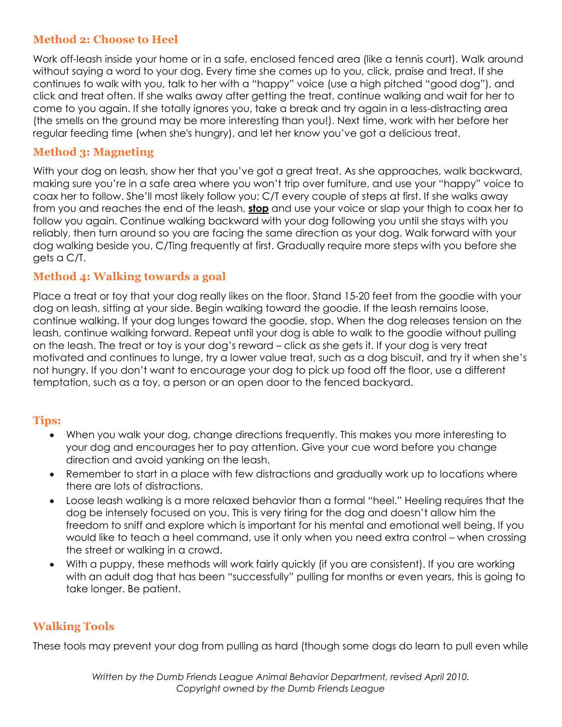# **Method 2: Choose to Heel**

Work off-leash inside your home or in a safe, enclosed fenced area (like a tennis court). Walk around without saying a word to your dog. Every time she comes up to you, click, praise and treat. If she continues to walk with you, talk to her with a "happy" voice (use a high pitched "good dog"), and click and treat often. If she walks away after getting the treat, continue walking and wait for her to come to you again. If she totally ignores you, take a break and try again in a less-distracting area (the smells on the ground may be more interesting than you!). Next time, work with her before her regular feeding time (when she's hungry), and let her know you've got a delicious treat.

# **Method 3: Magneting**

With your dog on leash, show her that you've got a great treat. As she approaches, walk backward, making sure you're in a safe area where you won't trip over furniture, and use your "happy" voice to coax her to follow. She'll most likely follow you; C/T every couple of steps at first. If she walks away from you and reaches the end of the leash, **stop** and use your voice or slap your thigh to coax her to follow you again. Continue walking backward with your dog following you until she stays with you reliably, then turn around so you are facing the same direction as your dog. Walk forward with your dog walking beside you, C/Ting frequently at first. Gradually require more steps with you before she gets a C/T.

# **Method 4: Walking towards a goal**

Place a treat or toy that your dog really likes on the floor. Stand 15-20 feet from the goodie with your dog on leash, sitting at your side. Begin walking toward the goodie. If the leash remains loose, continue walking. If your dog lunges toward the goodie, stop. When the dog releases tension on the leash, continue walking forward. Repeat until your dog is able to walk to the goodie without pulling on the leash. The treat or toy is your dog's reward – click as she gets it. If your dog is very treat motivated and continues to lunge, try a lower value treat, such as a dog biscuit, and try it when she's not hungry. If you don't want to encourage your dog to pick up food off the floor, use a different temptation, such as a toy, a person or an open door to the fenced backyard.

# **Tips:**

- When you walk your dog, change directions frequently. This makes you more interesting to your dog and encourages her to pay attention. Give your cue word before you change direction and avoid yanking on the leash.
- Remember to start in a place with few distractions and gradually work up to locations where there are lots of distractions.
- Loose leash walking is a more relaxed behavior than a formal "heel." Heeling requires that the dog be intensely focused on you. This is very tiring for the dog and doesn't allow him the freedom to sniff and explore which is important for his mental and emotional well being. If you would like to teach a heel command, use it only when you need extra control – when crossing the street or walking in a crowd.
- With a puppy, these methods will work fairly quickly (if you are consistent). If you are working with an adult dog that has been "successfully" pulling for months or even years, this is going to take longer. Be patient.

# **Walking Tools**

These tools may prevent your dog from pulling as hard (though some dogs do learn to pull even while